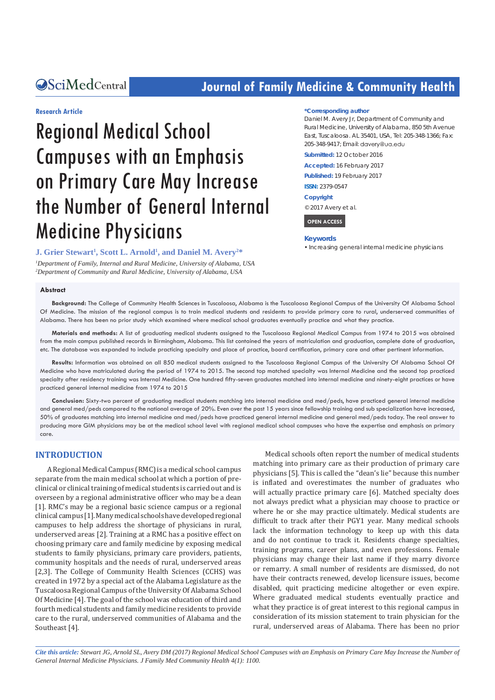## **CALCERT CONFIDENTIAL CONTROLLER COMMUNITY Health**

#### **Research Article**

# Regional Medical School Campuses with an Emphasis on Primary Care May Increase the Number of General Internal Medicine Physicians

**J. Grier Stewart<sup>1</sup>, Scott L. Arnold<sup>1</sup>, and Daniel M. Avery<sup>2\*</sup>** 

*1 Department of Family, Internal and Rural Medicine, University of Alabama, USA 2 Department of Community and Rural Medicine, University of Alabama, USA*

#### **\*Corresponding author**

Daniel M. Avery Jr, Department of Community and Rural Medicine, University of Alabama, 850 5th Avenue East, Tuscaloosa. AL 35401, USA, Tel: 205-348-1366; Fax: 205-348-9417; Email: davery@ua.edu

**Submitted:** 12 October 2016

**Accepted:** 16 February 2017

**Published:** 19 February 2017

**ISSN:** 2379-0547

**Copyright**

© 2017 Avery et al.

 **OPEN ACCESS** 

#### **Keywords**

• Increasing general internal medicine physicians

#### **Abstract**

**Background:** The College of Community Health Sciences in Tuscaloosa, Alabama is the Tuscaloosa Regional Campus of the University Of Alabama School Of Medicine. The mission of the regional campus is to train medical students and residents to provide primary care to rural, underserved communities of Alabama. There has been no prior study which examined where medical school graduates eventually practice and what they practice.

**Materials and methods:** A list of graduating medical students assigned to the Tuscaloosa Regional Medical Campus from 1974 to 2015 was obtained from the main campus published records in Birmingham, Alabama. This list contained the years of matriculation and graduation, complete date of graduation, etc. The database was expanded to include practicing specialty and place of practice, board certification, primary care and other pertinent information.

**Results:** Information was obtained on all 850 medical students assigned to the Tuscaloosa Regional Campus of the University Of Alabama School Of Medicine who have matriculated during the period of 1974 to 2015. The second top matched specialty was Internal Medicine and the second top practiced specialty after residency training was Internal Medicine. One hundred fifty-seven graduates matched into internal medicine and ninety-eight practices or have practiced general internal medicine from 1974 to 2015

**Conclusion:** Sixty-two percent of graduating medical students matching into internal medicine and med/peds, have practiced general internal medicine and general med/peds compared to the national average of 20%. Even over the past 15 years since fellowship training and sub specialization have increased, 50% of graduates matching into internal medicine and med/peds have practiced general internal medicine and general med/peds today. The real answer to producing more GIM physicians may be at the medical school level with regional medical school campuses who have the expertise and emphasis on primary care.

#### **INTRODUCTION**

A Regional Medical Campus (RMC) is a medical school campus separate from the main medical school at which a portion of preclinical or clinical training of medical students is carried out and is overseen by a regional administrative officer who may be a dean [1]. RMC's may be a regional basic science campus or a regional clinical campus [1]. Many medical schools have developed regional campuses to help address the shortage of physicians in rural, underserved areas [2]. Training at a RMC has a positive effect on choosing primary care and family medicine by exposing medical students to family physicians, primary care providers, patients, community hospitals and the needs of rural, underserved areas [2,3]. The College of Community Health Sciences (CCHS) was created in 1972 by a special act of the Alabama Legislature as the Tuscaloosa Regional Campus of the University Of Alabama School Of Medicine [4]. The goal of the school was education of third and fourth medical students and family medicine residents to provide care to the rural, underserved communities of Alabama and the Southeast [4].

Medical schools often report the number of medical students matching into primary care as their production of primary care physicians [5]. This is called the "dean's lie" because this number is inflated and overestimates the number of graduates who will actually practice primary care [6]. Matched specialty does not always predict what a physician may choose to practice or where he or she may practice ultimately. Medical students are difficult to track after their PGY1 year. Many medical schools lack the information technology to keep up with this data and do not continue to track it. Residents change specialties, training programs, career plans, and even professions. Female physicians may change their last name if they marry divorce or remarry. A small number of residents are dismissed, do not have their contracts renewed, develop licensure issues, become disabled, quit practicing medicine altogether or even expire. Where graduated medical students eventually practice and what they practice is of great interest to this regional campus in consideration of its mission statement to train physician for the rural, underserved areas of Alabama. There has been no prior

*Cite this article: Stewart JG, Arnold SL, Avery DM (2017) Regional Medical School Campuses with an Emphasis on Primary Care May Increase the Number of General Internal Medicine Physicians. J Family Med Community Health 4(1): 1100.*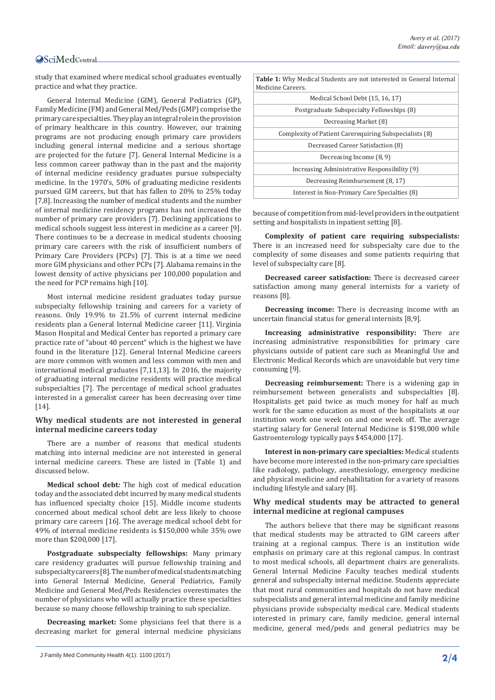#### **OSciMedCentral**

study that examined where medical school graduates eventually practice and what they practice.

General Internal Medicine (GIM), General Pediatrics (GP), Family Medicine (FM) and General Med/Peds (GMP) comprise the primary care specialties. They play an integral role in the provision of primary healthcare in this country. However, our training programs are not producing enough primary care providers including general internal medicine and a serious shortage are projected for the future [7]. General Internal Medicine is a less common career pathway than in the past and the majority of internal medicine residency graduates pursue subspecialty medicine. In the 1970's, 50% of graduating medicine residents pursued GIM careers, but that has fallen to 20% to 25% today [7,8]. Increasing the number of medical students and the number of internal medicine residency programs has not increased the number of primary care providers [7]. Declining applications to medical schools suggest less interest in medicine as a career [9]. There continues to be a decrease in medical students choosing primary care careers with the risk of insufficient numbers of Primary Care Providers (PCPs) [7]. This is at a time we need more GIM physicians and other PCPs [7]. Alabama remains in the lowest density of active physicians per 100,000 population and the need for PCP remains high [10].

Most internal medicine resident graduates today pursue subspecialty fellowship training and careers for a variety of reasons. Only 19.9% to 21.5% of current internal medicine residents plan a General Internal Medicine career [11]. Virginia Mason Hospital and Medical Center has reported a primary care practice rate of "about 40 percent" which is the highest we have found in the literature [12]. General Internal Medicine careers are more common with women and less common with men and international medical graduates [7,11,13]. In 2016, the majority of graduating internal medicine residents will practice medical subspecialties [7]. The percentage of medical school graduates interested in a generalist career has been decreasing over time [14].

#### **Why medical students are not interested in general internal medicine careers today**

There are a number of reasons that medical students matching into internal medicine are not interested in general internal medicine careers. These are listed in (Table 1) and discussed below.

**Medical school debt***:* The high cost of medical education today and the associated debt incurred by many medical students has influenced specialty choice [15]. Middle income students concerned about medical school debt are less likely to choose primary care careers [16]. The average medical school debt for 49% of internal medicine residents is \$150,000 while 35% owe more than \$200,000 [17].

**Postgraduate subspecialty fellowships:** Many primary care residency graduates will pursue fellowship training and subspecialty careers [8]. The number of medical students matching into General Internal Medicine, General Pediatrics, Family Medicine and General Med/Peds Residencies overestimates the number of physicians who will actually practice these specialties because so many choose fellowship training to sub specialize.

**Decreasing market:** Some physicians feel that there is a decreasing market for general internal medicine physicians

| Medical School Debt (15, 16, 17)                       |
|--------------------------------------------------------|
| Postgraduate Subspecialty Fellowships (8)              |
|                                                        |
| Complexity of Patient Carerequiring Subspecialists (8) |
| Decreased Career Satisfaction (8)                      |
|                                                        |
| Increasing Administrative Responsibility (9)           |
| Decreasing Reimbursement (8, 17)                       |
| Interest in Non-Primary Care Specialties (8)           |
|                                                        |

because of competition from mid-level providers in the outpatient setting and hospitalists in inpatient setting [8].

**Complexity of patient care requiring subspecialists:** There is an increased need for subspecialty care due to the complexity of some diseases and some patients requiring that level of subspecialty care [8].

**Decreased career satisfaction:** There is decreased career satisfaction among many general internists for a variety of reasons [8].

**Decreasing income:** There is decreasing income with an uncertain financial status for general internists [8,9].

**Increasing administrative responsibility:** There are increasing administrative responsibilities for primary care physicians outside of patient care such as Meaningful Use and Electronic Medical Records which are unavoidable but very time consuming [9].

**Decreasing reimbursement:** There is a widening gap in reimbursement between generalists and subspecialties [8]. Hospitalists get paid twice as much money for half as much work for the same education as most of the hospitalists at our institution work one week on and one week off. The average starting salary for General Internal Medicine is \$198,000 while Gastroenterology typically pays \$454,000 [17].

**Interest in non-primary care specialties:** Medical students have become more interested in the non-primary care specialties like radiology, pathology, anesthesiology, emergency medicine and physical medicine and rehabilitation for a variety of reasons including lifestyle and salary [8].

#### **Why medical students may be attracted to general internal medicine at regional campuses**

The authors believe that there may be significant reasons that medical students may be attracted to GIM careers after training at a regional campus. There is an institution wide emphasis on primary care at this regional campus. In contrast to most medical schools, all department chairs are generalists. General Internal Medicine Faculty teaches medical students general and subspecialty internal medicine. Students appreciate that most rural communities and hospitals do not have medical subspecialists and general internal medicine and family medicine physicians provide subspecialty medical care. Medical students interested in primary care, family medicine, general internal medicine, general med/peds and general pediatrics may be

J Family Med Community Health 4(1): 1100 (2017) **2/4**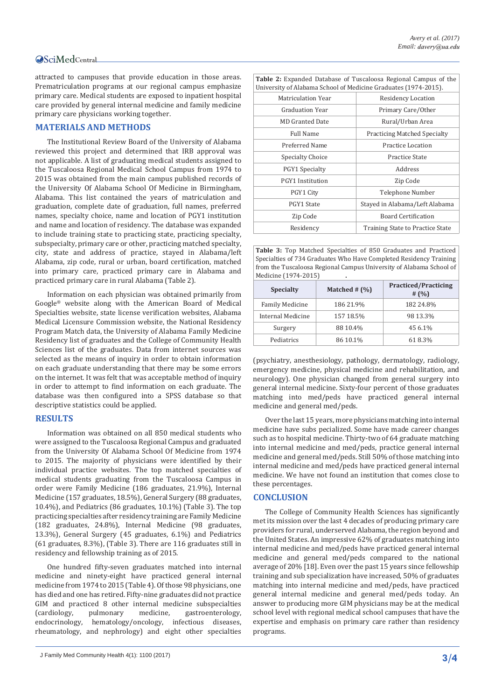attracted to campuses that provide education in those areas. Prematriculation programs at our regional campus emphasize primary care. Medical students are exposed to inpatient hospital care provided by general internal medicine and family medicine primary care physicians working together.

#### **MATERIALS AND METHODS**

The Institutional Review Board of the University of Alabama reviewed this project and determined that IRB approval was not applicable. A list of graduating medical students assigned to the Tuscaloosa Regional Medical School Campus from 1974 to 2015 was obtained from the main campus published records of the University Of Alabama School Of Medicine in Birmingham, Alabama. This list contained the years of matriculation and graduation, complete date of graduation, full names, preferred names, specialty choice, name and location of PGY1 institution and name and location of residency. The database was expanded to include training state to practicing state, practicing specialty, subspecialty, primary care or other, practicing matched specialty, city, state and address of practice, stayed in Alabama/left Alabama, zip code, rural or urban, board certification, matched into primary care, practiced primary care in Alabama and practiced primary care in rural Alabama (Table 2).

Information on each physician was obtained primarily from Google® website along with the American Board of Medical Specialties website, state license verification websites, Alabama Medical Licensure Commission website, the National Residency Program Match data, the University of Alabama Family Medicine Residency list of graduates and the College of Community Health Sciences list of the graduates. Data from internet sources was selected as the means of inquiry in order to obtain information on each graduate understanding that there may be some errors on the internet. It was felt that was acceptable method of inquiry in order to attempt to find information on each graduate. The database was then configured into a SPSS database so that descriptive statistics could be applied.

#### **RESULTS**

Information was obtained on all 850 medical students who were assigned to the Tuscaloosa Regional Campus and graduated from the University Of Alabama School Of Medicine from 1974 to 2015. The majority of physicians were identified by their individual practice websites. The top matched specialties of medical students graduating from the Tuscaloosa Campus in order were Family Medicine (186 graduates, 21.9%), Internal Medicine (157 graduates, 18.5%), General Surgery (88 graduates, 10.4%), and Pediatrics (86 graduates, 10.1%) (Table 3). The top practicing specialties after residency training are Family Medicine (182 graduates, 24.8%), Internal Medicine (98 graduates, 13.3%), General Surgery (45 graduates, 6.1%) and Pediatrics (61 graduates, 8.3%), (Table 3). There are 116 graduates still in residency and fellowship training as of 2015.

One hundred fifty-seven graduates matched into internal medicine and ninety-eight have practiced general internal medicine from 1974 to 2015 (Table 4). Of those 98 physicians, one has died and one has retired. Fifty-nine graduates did not practice GIM and practiced 8 other internal medicine subspecialties (cardiology, pulmonary medicine, gastroenterology, (cardiology, pulmonary medicine, gastroenterology,<br>endocrinology, hematology/oncology, infectious diseases, hematology/oncology, infectious diseases, rheumatology, and nephrology) and eight other specialties

```
J Family Med Community Health 4(1): 1100 (2017) 3/4
```

| <b>Table 2:</b> Expanded Database of Tuscaloosa Regional Campus of the<br>University of Alabama School of Medicine Graduates (1974-2015). |                                     |  |  |  |
|-------------------------------------------------------------------------------------------------------------------------------------------|-------------------------------------|--|--|--|
| Matriculation Year                                                                                                                        | Residency Location                  |  |  |  |
| Graduation Year                                                                                                                           | Primary Care/Other                  |  |  |  |
| MD Granted Date                                                                                                                           | Rural/Urban Area                    |  |  |  |
| Full Name                                                                                                                                 | <b>Practicing Matched Specialty</b> |  |  |  |
| Preferred Name                                                                                                                            | Practice Location                   |  |  |  |
| Specialty Choice                                                                                                                          | Practice State                      |  |  |  |
| PGY1 Specialty                                                                                                                            | Address                             |  |  |  |
| PGY1 Institution                                                                                                                          | Zip Code                            |  |  |  |
| PGY1 City                                                                                                                                 | Telephone Number                    |  |  |  |
| PGY1 State                                                                                                                                | Stayed in Alabama/Left Alabama      |  |  |  |
| Zip Code                                                                                                                                  | <b>Board Certification</b>          |  |  |  |
| Residency                                                                                                                                 | Training State to Practice State    |  |  |  |

**Table 3:** Top Matched Specialties of 850 Graduates and Practiced Specialties of 734 Graduates Who Have Completed Residency Training from the Tuscaloosa Regional Campus University of Alabama School of Medicine (1974-2015) **.**

| <b>Specialty</b>       | Matched $#$ $(\%)$ | <b>Practiced/Practicing</b><br># $(% )$ |
|------------------------|--------------------|-----------------------------------------|
| <b>Family Medicine</b> | 186 21.9%          | 182 24.8%                               |
| Internal Medicine      | 157 18.5%          | 98 13.3%                                |
| Surgery                | 88 10.4%           | 45 6.1%                                 |
| Pediatrics             | 86 10.1%           | 618.3%                                  |

(psychiatry, anesthesiology, pathology, dermatology, radiology, emergency medicine, physical medicine and rehabilitation, and neurology). One physician changed from general surgery into general internal medicine. Sixty-four percent of those graduates matching into med/peds have practiced general internal medicine and general med/peds.

Over the last 15 years, more physicians matching into internal medicine have subs pecialized. Some have made career changes such as to hospital medicine. Thirty-two of 64 graduate matching into internal medicine and med/peds, practice general internal medicine and general med/peds. Still 50% of those matching into internal medicine and med/peds have practiced general internal medicine. We have not found an institution that comes close to these percentages.

#### **CONCLUSION**

The College of Community Health Sciences has significantly met its mission over the last 4 decades of producing primary care providers for rural, underserved Alabama, the region beyond and the United States. An impressive 62% of graduates matching into internal medicine and med/peds have practiced general internal medicine and general med/peds compared to the national average of 20% [18]. Even over the past 15 years since fellowship training and sub specialization have increased, 50% of graduates matching into internal medicine and med/peds, have practiced general internal medicine and general med/peds today. An answer to producing more GIM physicians may be at the medical school level with regional medical school campuses that have the expertise and emphasis on primary care rather than residency programs.